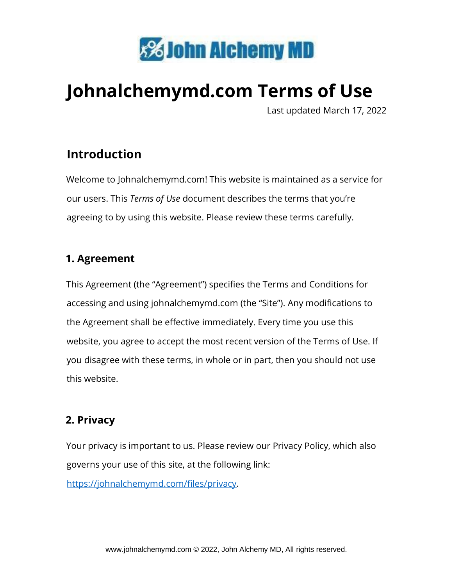

# **Johnalchemymd.com Terms of Use**

Last updated March 17, 2022

# **Introduction**

Welcome to Johnalchemymd.com! This website is maintained as a service for our users. This *Terms of Use* document describes the terms that you're agreeing to by using this website. Please review these terms carefully.

#### **1. Agreement**

This Agreement (the "Agreement") specifies the Terms and Conditions for accessing and using johnalchemymd.com (the "Site"). Any modifications to the Agreement shall be effective immediately. Every time you use this website, you agree to accept the most recent version of the Terms of Use. If you disagree with these terms, in whole or in part, then you should not use this website.

#### **2. Privacy**

Your privacy is important to us. Please review our Privacy Policy, which also governs your use of this site, at the following link: [https://johnalchemymd.com/files/privacy.](https://johnalchemymd.com/files/privacy)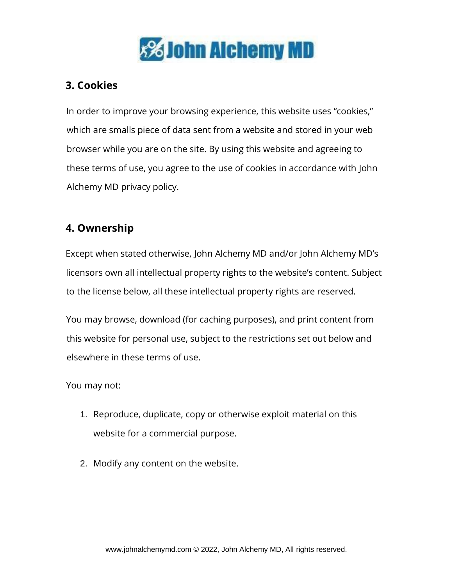

# **3. Cookies**

In order to improve your browsing experience, this website uses "cookies," which are smalls piece of data sent from a website and stored in your web browser while you are on the site. By using this website and agreeing to these terms of use, you agree to the use of cookies in accordance with John Alchemy MD privacy policy.

# **4. Ownership**

Except when stated otherwise, John Alchemy MD and/or John Alchemy MD's licensors own all intellectual property rights to the website's content. Subject to the license below, all these intellectual property rights are reserved.

You may browse, download (for caching purposes), and print content from this website for personal use, subject to the restrictions set out below and elsewhere in these terms of use.

You may not:

- 1. Reproduce, duplicate, copy or otherwise exploit material on this website for a commercial purpose.
- 2. Modify any content on the website.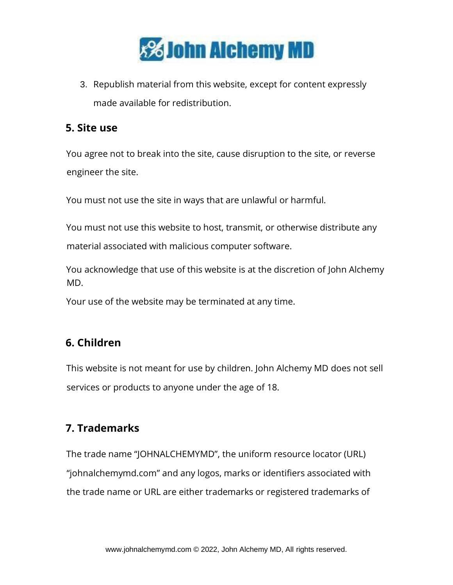

3. Republish material from this website, except for content expressly made available for redistribution.

#### **5. Site use**

You agree not to break into the site, cause disruption to the site, or reverse engineer the site.

You must not use the site in ways that are unlawful or harmful.

You must not use this website to host, transmit, or otherwise distribute any material associated with malicious computer software.

You acknowledge that use of this website is at the discretion of John Alchemy MD.

Your use of the website may be terminated at any time.

## **6. Children**

This website is not meant for use by children. John Alchemy MD does not sell services or products to anyone under the age of 18.

## **7. Trademarks**

The trade name "JOHNALCHEMYMD", the uniform resource locator (URL) "johnalchemymd.com" and any logos, marks or identifiers associated with the trade name or URL are either trademarks or registered trademarks of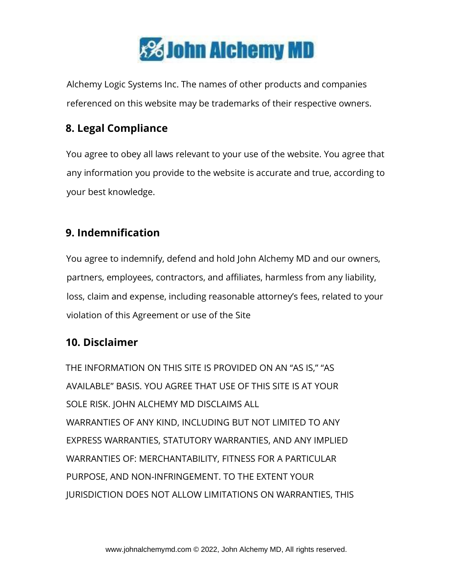

Alchemy Logic Systems Inc. The names of other products and companies referenced on this website may be trademarks of their respective owners.

# **8. Legal Compliance**

You agree to obey all laws relevant to your use of the website. You agree that any information you provide to the website is accurate and true, according to your best knowledge.

## **9. Indemnification**

You agree to indemnify, defend and hold John Alchemy MD and our owners, partners, employees, contractors, and affiliates, harmless from any liability, loss, claim and expense, including reasonable attorney's fees, related to your violation of this Agreement or use of the Site

## **10. Disclaimer**

THE INFORMATION ON THIS SITE IS PROVIDED ON AN "AS IS," "AS AVAILABLE" BASIS. YOU AGREE THAT USE OF THIS SITE IS AT YOUR SOLE RISK. JOHN ALCHEMY MD DISCLAIMS ALL WARRANTIES OF ANY KIND, INCLUDING BUT NOT LIMITED TO ANY EXPRESS WARRANTIES, STATUTORY WARRANTIES, AND ANY IMPLIED WARRANTIES OF: MERCHANTABILITY, FITNESS FOR A PARTICULAR PURPOSE, AND NON-INFRINGEMENT. TO THE EXTENT YOUR JURISDICTION DOES NOT ALLOW LIMITATIONS ON WARRANTIES, THIS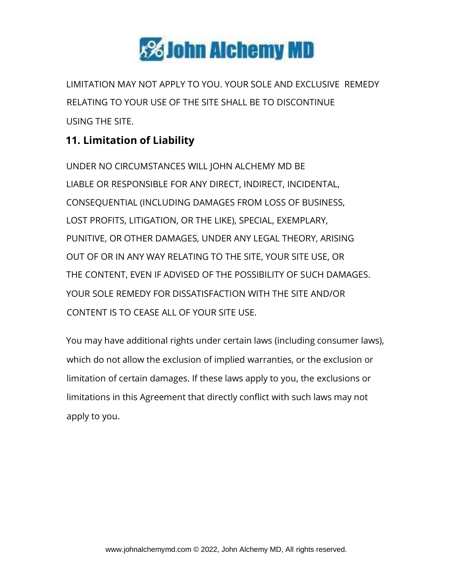

LIMITATION MAY NOT APPLY TO YOU. YOUR SOLE AND EXCLUSIVE REMEDY RELATING TO YOUR USE OF THE SITE SHALL BE TO DISCONTINUE USING THE SITE.

# **11. Limitation of Liability**

UNDER NO CIRCUMSTANCES WILL JOHN ALCHEMY MD BE LIABLE OR RESPONSIBLE FOR ANY DIRECT, INDIRECT, INCIDENTAL, CONSEQUENTIAL (INCLUDING DAMAGES FROM LOSS OF BUSINESS, LOST PROFITS, LITIGATION, OR THE LIKE), SPECIAL, EXEMPLARY, PUNITIVE, OR OTHER DAMAGES, UNDER ANY LEGAL THEORY, ARISING OUT OF OR IN ANY WAY RELATING TO THE SITE, YOUR SITE USE, OR THE CONTENT, EVEN IF ADVISED OF THE POSSIBILITY OF SUCH DAMAGES. YOUR SOLE REMEDY FOR DISSATISFACTION WITH THE SITE AND/OR CONTENT IS TO CEASE ALL OF YOUR SITE USE.

You may have additional rights under certain laws (including consumer laws), which do not allow the exclusion of implied warranties, or the exclusion or limitation of certain damages. If these laws apply to you, the exclusions or limitations in this Agreement that directly conflict with such laws may not apply to you.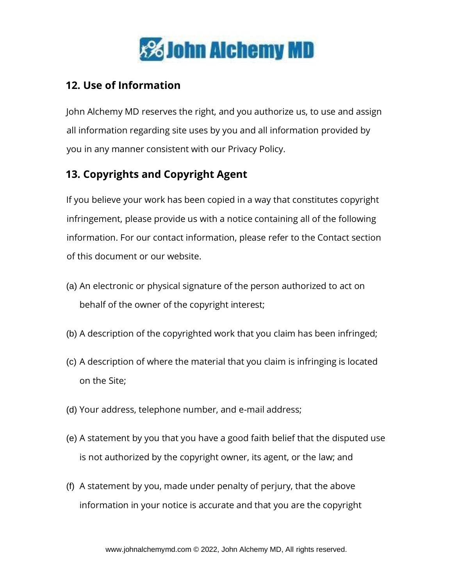

#### **12. Use of Information**

John Alchemy MD reserves the right, and you authorize us, to use and assign all information regarding site uses by you and all information provided by you in any manner consistent with our Privacy Policy.

# **13. Copyrights and Copyright Agent**

If you believe your work has been copied in a way that constitutes copyright infringement, please provide us with a notice containing all of the following information. For our contact information, please refer to the Contact section of this document or our website.

- (a) An electronic or physical signature of the person authorized to act on behalf of the owner of the copyright interest;
- (b) A description of the copyrighted work that you claim has been infringed;
- (c) A description of where the material that you claim is infringing is located on the Site;
- (d) Your address, telephone number, and e-mail address;
- (e) A statement by you that you have a good faith belief that the disputed use is not authorized by the copyright owner, its agent, or the law; and
- (f) A statement by you, made under penalty of perjury, that the above information in your notice is accurate and that you are the copyright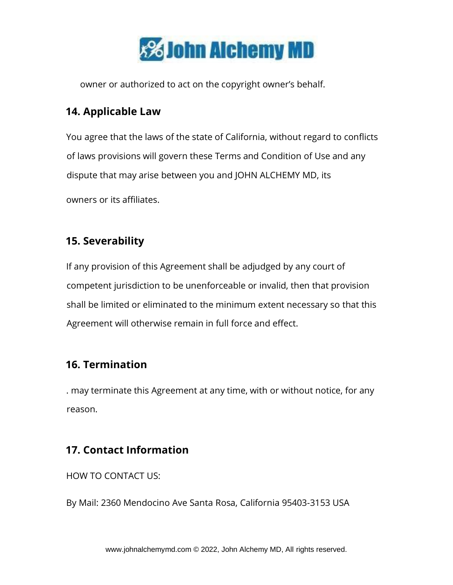

owner or authorized to act on the copyright owner's behalf.

#### **14. Applicable Law**

You agree that the laws of the state of California, without regard to conflicts of laws provisions will govern these Terms and Condition of Use and any dispute that may arise between you and JOHN ALCHEMY MD, its

owners or its affiliates.

#### **15. Severability**

If any provision of this Agreement shall be adjudged by any court of competent jurisdiction to be unenforceable or invalid, then that provision shall be limited or eliminated to the minimum extent necessary so that this Agreement will otherwise remain in full force and effect.

#### **16. Termination**

. may terminate this Agreement at any time, with or without notice, for any reason.

#### **17. Contact Information**

HOW TO CONTACT US:

By Mail: 2360 Mendocino Ave Santa Rosa, California 95403-3153 USA